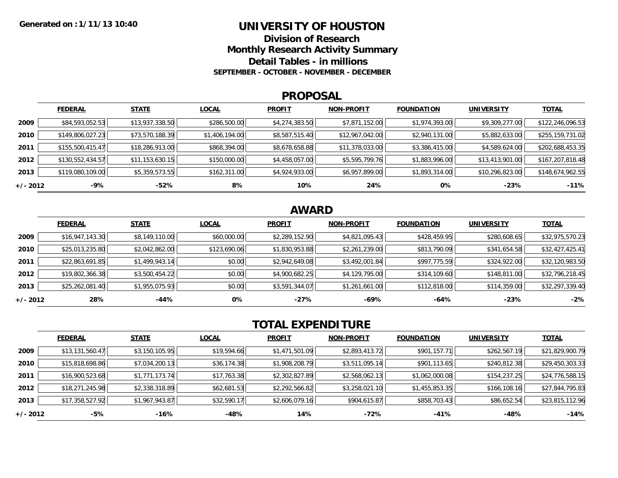## **UNIVERSITY OF HOUSTON**

**Division of ResearchMonthly Research Activity Summary**

**Detail Tables - in millions**

**SEPTEMBER - OCTOBER - NOVEMBER - DECEMBER**

#### **PROPOSAL**

|            | <b>FEDERAL</b>   | <b>STATE</b>    | <b>LOCAL</b>   | <b>PROFIT</b>  | <b>NON-PROFIT</b> | <b>FOUNDATION</b> | <b>UNIVERSITY</b> | <b>TOTAL</b>     |
|------------|------------------|-----------------|----------------|----------------|-------------------|-------------------|-------------------|------------------|
| 2009       | \$84,593,052.53  | \$13,937,338.50 | \$286,500.00   | \$4,274,383.50 | \$7,871,152.00    | \$1,974,393.00    | \$9,309,277.00    | \$122,246,096.53 |
| 2010       | \$149,806,027.23 | \$73,570,188.39 | \$1,406,194.00 | \$8,587,515.40 | \$12,967,042.00   | \$2,940,131.00    | \$5,882,633.00    | \$255,159,731.02 |
| 2011       | \$155,500,415.47 | \$18,286,913.00 | \$868,394.00   | \$8,678,658.88 | \$11,378,033.00   | \$3,386,415.00    | \$4,589,624.00    | \$202,688,453.35 |
| 2012       | \$130,552,434.57 | \$11,153,630.15 | \$150,000.00   | \$4,458,057.00 | \$5,595,799.76    | \$1,883,996.00    | \$13,413,901.00   | \$167,207,818.48 |
| 2013       | \$119,080,109.00 | \$5,359,573.55  | \$162,311.00   | \$4,924,933.00 | \$6,957,899.00    | \$1,893,314.00    | \$10,296,823.00   | \$148,674,962.55 |
| $+/- 2012$ | -9%              | -52%            | 8%             | 10%            | 24%               | 0%                | $-23%$            | $-11%$           |

## **AWARD**

|          | <b>FEDERAL</b>  | <b>STATE</b>   | <b>LOCAL</b> | <b>PROFIT</b>  | <b>NON-PROFIT</b> | <b>FOUNDATION</b> | <b>UNIVERSITY</b> | <b>TOTAL</b>    |
|----------|-----------------|----------------|--------------|----------------|-------------------|-------------------|-------------------|-----------------|
| 2009     | \$16,947,143.30 | \$8,149,110.00 | \$60,000.00  | \$2,289,152.90 | \$4,821,095.43    | \$428,459.95      | \$280,608.65      | \$32,975,570.23 |
| 2010     | \$25,013,235.80 | \$2,042,862.00 | \$123,690.06 | \$1,830,953.88 | \$2,261,239.00    | \$813,790.09      | \$341,654.58      | \$32,427,425.41 |
| 2011     | \$22,863,691.85 | \$1,499,943.14 | \$0.00       | \$2,942,649.08 | \$3,492,001.84    | \$997,775.59      | \$324,922.00      | \$32,120,983.50 |
| 2012     | \$19,802,366.38 | \$3,500,454.22 | \$0.00       | \$4,900,682.25 | \$4,129,795.00    | \$314,109.60      | \$148,811.00      | \$32,796,218.45 |
| 2013     | \$25,262,081.40 | \$1,955,075.93 | \$0.00       | \$3,591,344.07 | \$1,261,661.00    | \$112,818.00      | \$114,359.00      | \$32,297,339.40 |
| +/- 2012 | 28%             | -44%           | 0%           | $-27%$         | -69%              | $-64%$            | $-23%$            | $-2%$           |

# **TOTAL EXPENDITURE**

|          | <b>FEDERAL</b>  | <b>STATE</b>   | <b>LOCAL</b> | <b>PROFIT</b>  | <b>NON-PROFIT</b> | <b>FOUNDATION</b> | <b>UNIVERSITY</b> | <b>TOTAL</b>    |
|----------|-----------------|----------------|--------------|----------------|-------------------|-------------------|-------------------|-----------------|
| 2009     | \$13,131,560.47 | \$3,150,105.95 | \$19,594.66  | \$1,471,501.09 | \$2,893,413.72    | \$901,157.71      | \$262,567.19      | \$21,829,900.79 |
| 2010     | \$15,818,698.86 | \$7,034,200.13 | \$36,174.38  | \$1,908,208.79 | \$3,511,095.14    | \$901,113.65      | \$240,812.38      | \$29,450,303.33 |
| 2011     | \$16,900,523.68 | \$1,771,173.74 | \$17,763.38  | \$2,302,827.89 | \$2,568,062.13    | \$1,062,000.08    | \$154,237.25      | \$24,776,588.15 |
| 2012     | \$18,271,245.98 | \$2,338,318.89 | \$62,681.53  | \$2,292,566.82 | \$3,258,021.10    | \$1,455,853.35    | \$166,108.16      | \$27,844,795.83 |
| 2013     | \$17,358,527.92 | \$1,967,943.87 | \$32,590.17  | \$2,606,079.16 | \$904,615.87      | \$858,703.43      | \$86,652.54       | \$23,815,112.96 |
| +/- 2012 | -5%             | $-16%$         | -48%         | 14%            | -72%              | $-41%$            | -48%              | $-14%$          |